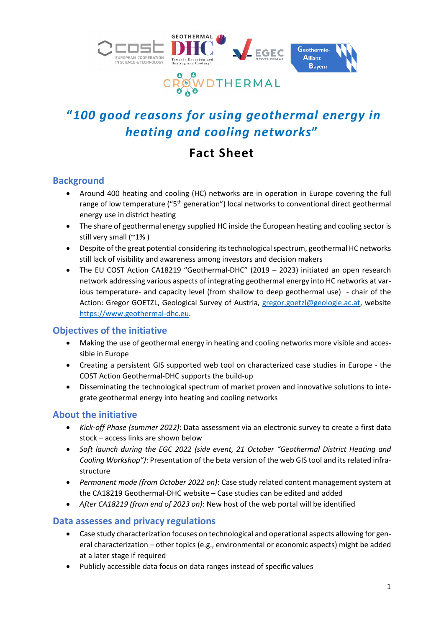

# **"***100 good reasons for using geothermal energy in heating and cooling networks***"**

# **Fact Sheet**

#### **Background**

- Around 400 heating and cooling (HC) networks are in operation in Europe covering the full range of low temperature ("5<sup>th</sup> generation") local networks to conventional direct geothermal energy use in district heating
- The share of geothermal energy supplied HC inside the European heating and cooling sector is still very small (~1% )
- Despite of the great potential considering its technological spectrum, geothermal HC networks still lack of visibility and awareness among investors and decision makers
- The EU COST Action CA18219 "Geothermal-DHC" (2019 2023) initiated an open research network addressing various aspects of integrating geothermal energy into HC networks at various temperature- and capacity level (from shallow to deep geothermal use) - chair of the Action: Gregor GOETZL, Geological Survey of Austria, [gregor.goetzl@geologie.ac.at,](mailto:gregor.goetzl@geologie.ac.at) website [https://www.geothermal-dhc.eu.](https://www.geothermal-dhc.eu/)

### **Objectives of the initiative**

- Making the use of geothermal energy in heating and cooling networks more visible and accessible in Europe
- Creating a persistent GIS supported web tool on characterized case studies in Europe the COST Action Geothermal-DHC supports the build-up
- Disseminating the technological spectrum of market proven and innovative solutions to integrate geothermal energy into heating and cooling networks

### **About the initiative**

- *Kick-off Phase (summer 2022)*: Data assessment via an electronic survey to create a first data stock – access links are shown below
- *Soft launch during the EGC 2022 (side event, 21 October "Geothermal District Heating and Cooling Workshop")*: Presentation of the beta version of the web GIS tool and its related infrastructure
- *Permanent mode (from October 2022 on)*: Case study related content management system at the CA18219 Geothermal-DHC website – Case studies can be edited and added
- *After CA18219 (from end of 2023 on)*: New host of the web portal will be identified

#### **Data assesses and privacy regulations**

- Case study characterization focuses on technological and operational aspects allowing for general characterization – other topics (e.g., environmental or economic aspects) might be added at a later stage if required
- Publicly accessible data focus on data ranges instead of specific values